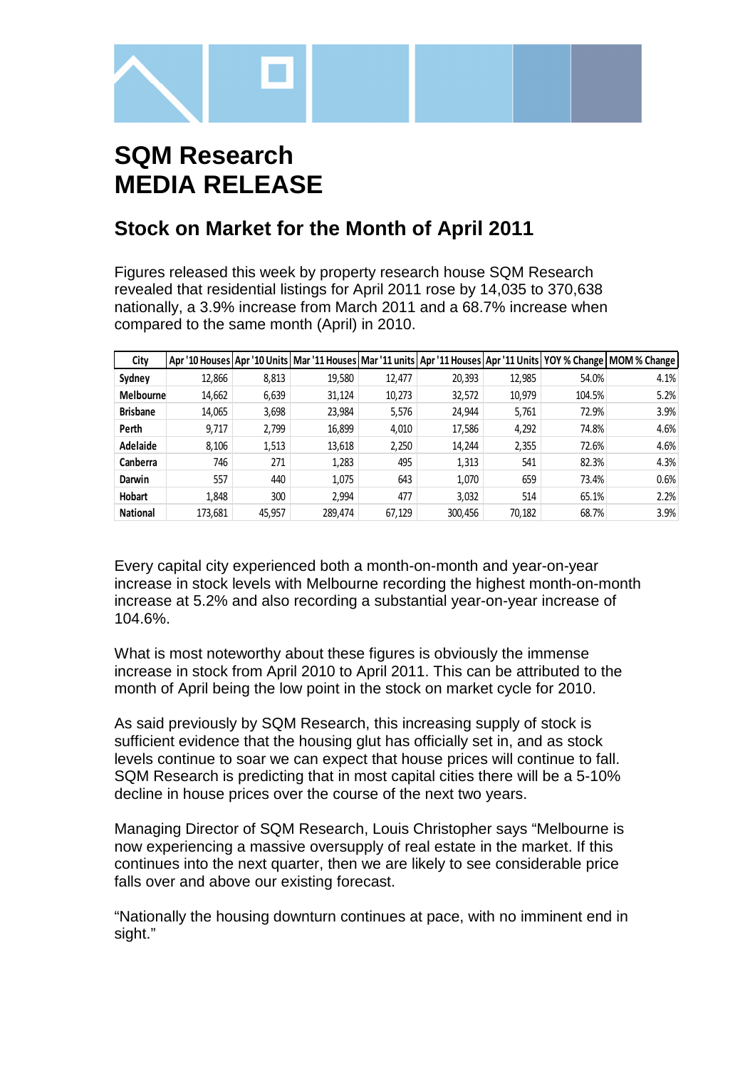

# **SQM Research MEDIA RELEASE**

# **Stock on Market for the Month of April 2011**

Figures released this week by property research house SQM Research revealed that residential listings for April 2011 rose by 14,035 to 370,638 nationally, a 3.9% increase from March 2011 and a 68.7% increase when compared to the same month (April) in 2010.

| City             |         |        |         |        |         |        |        | Apr '10 Houses   Apr '10 Units   Mar '11 Houses   Mar '11 units   Apr '11 Houses   Apr '11 Units   YOY % Change   MOM % Change |
|------------------|---------|--------|---------|--------|---------|--------|--------|--------------------------------------------------------------------------------------------------------------------------------|
| Sydney           | 12,866  | 8,813  | 19,580  | 12,477 | 20,393  | 12,985 | 54.0%  | 4.1%                                                                                                                           |
| <b>Melbourne</b> | 14,662  | 6,639  | 31,124  | 10,273 | 32,572  | 10,979 | 104.5% | 5.2%                                                                                                                           |
| <b>Brisbane</b>  | 14,065  | 3,698  | 23,984  | 5,576  | 24,944  | 5,761  | 72.9%  | 3.9%                                                                                                                           |
| Perth            | 9,717   | 2,799  | 16,899  | 4,010  | 17,586  | 4,292  | 74.8%  | 4.6%                                                                                                                           |
| Adelaide         | 8,106   | 1,513  | 13,618  | 2,250  | 14,244  | 2,355  | 72.6%  | 4.6%                                                                                                                           |
| Canberra         | 746     | 271    | 1,283   | 495    | 1,313   | 541    | 82.3%  | 4.3%                                                                                                                           |
| Darwin           | 557     | 440    | 1.075   | 643    | 1.070   | 659    | 73.4%  | 0.6%                                                                                                                           |
| Hobart           | 1.848   | 300    | 2.994   | 477    | 3.032   | 514    | 65.1%  | 2.2%                                                                                                                           |
| <b>National</b>  | 173,681 | 45.957 | 289.474 | 67,129 | 300.456 | 70,182 | 68.7%  | 3.9%                                                                                                                           |

Every capital city experienced both a month-on-month and year-on-year increase in stock levels with Melbourne recording the highest month-on-month increase at 5.2% and also recording a substantial year-on-year increase of 104.6%.

What is most noteworthy about these figures is obviously the immense increase in stock from April 2010 to April 2011. This can be attributed to the month of April being the low point in the stock on market cycle for 2010.

As said previously by SQM Research, this increasing supply of stock is sufficient evidence that the housing glut has officially set in, and as stock levels continue to soar we can expect that house prices will continue to fall. SQM Research is predicting that in most capital cities there will be a 5-10% decline in house prices over the course of the next two years.

Managing Director of SQM Research, Louis Christopher says "Melbourne is now experiencing a massive oversupply of real estate in the market. If this continues into the next quarter, then we are likely to see considerable price falls over and above our existing forecast.

"Nationally the housing downturn continues at pace, with no imminent end in sight."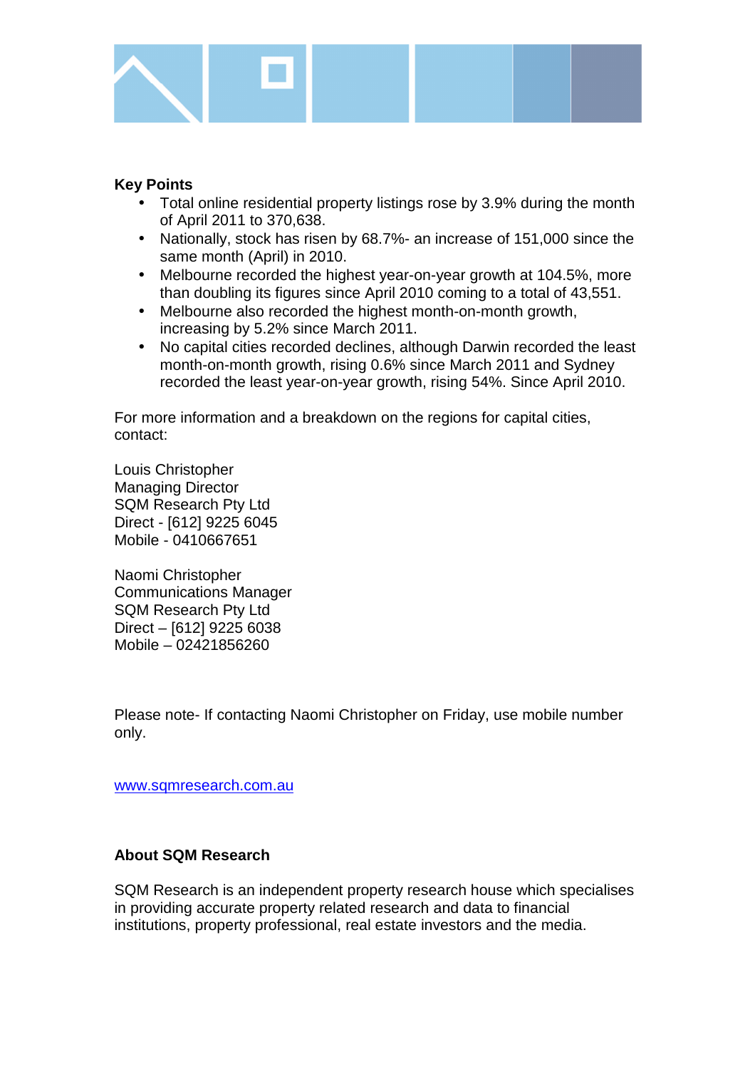

## **Key Points**

- Total online residential property listings rose by 3.9% during the month of April 2011 to 370,638.
- Nationally, stock has risen by 68.7%- an increase of 151,000 since the same month (April) in 2010.
- Melbourne recorded the highest year-on-year growth at 104.5%, more than doubling its figures since April 2010 coming to a total of 43,551.
- Melbourne also recorded the highest month-on-month growth, increasing by 5.2% since March 2011.
- No capital cities recorded declines, although Darwin recorded the least month-on-month growth, rising 0.6% since March 2011 and Sydney recorded the least year-on-year growth, rising 54%. Since April 2010.

For more information and a breakdown on the regions for capital cities, contact:

Louis Christopher Managing Director SQM Research Pty Ltd Direct - [612] 9225 6045 Mobile - 0410667651

Naomi Christopher Communications Manager SQM Research Pty Ltd Direct – [612] 9225 6038 Mobile – 02421856260

Please note- If contacting Naomi Christopher on Friday, use mobile number only.

www.sqmresearch.com.au

### **About SQM Research**

SQM Research is an independent property research house which specialises in providing accurate property related research and data to financial institutions, property professional, real estate investors and the media.